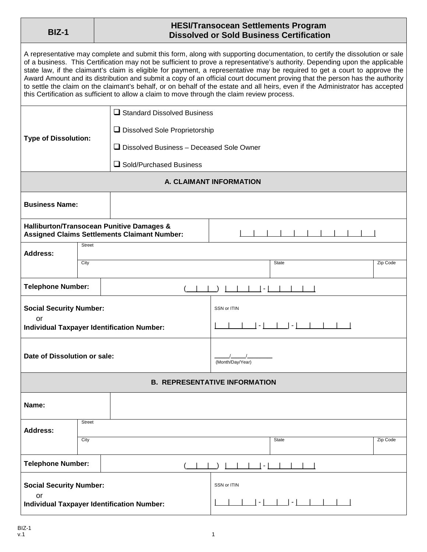## **BIZ-1 HESI/Transocean Settlements Program Dissolved or Sold Business Certification**

A representative may complete and submit this form, along with supporting documentation, to certify the dissolution or sale of a business. This Certification may not be sufficient to prove a representative's authority. Depending upon the applicable state law, if the claimant's claim is eligible for payment, a representative may be required to get a court to approve the Award Amount and its distribution and submit a copy of an official court document proving that the person has the authority to settle the claim on the claimant's behalf, or on behalf of the estate and all heirs, even if the Administrator has accepted this Certification as sufficient to allow a claim to move through the claim review process.

|                                                         |               | $\square$ Standard Dissolved Business                                                                       |                            |       |          |  |
|---------------------------------------------------------|---------------|-------------------------------------------------------------------------------------------------------------|----------------------------|-------|----------|--|
| <b>Type of Dissolution:</b>                             |               | □ Dissolved Sole Proprietorship                                                                             |                            |       |          |  |
|                                                         |               | $\Box$ Dissolved Business - Deceased Sole Owner                                                             |                            |       |          |  |
|                                                         |               | □ Sold/Purchased Business                                                                                   |                            |       |          |  |
| A. CLAIMANT INFORMATION                                 |               |                                                                                                             |                            |       |          |  |
| <b>Business Name:</b>                                   |               |                                                                                                             |                            |       |          |  |
|                                                         |               | <b>Halliburton/Transocean Punitive Damages &amp;</b><br><b>Assigned Claims Settlements Claimant Number:</b> |                            |       |          |  |
| <b>Address:</b>                                         | <b>Street</b> |                                                                                                             |                            |       |          |  |
|                                                         | City          |                                                                                                             |                            | State | Zip Code |  |
| <b>Telephone Number:</b>                                |               |                                                                                                             | $\sim$                     |       |          |  |
| <b>Social Security Number:</b>                          |               |                                                                                                             | SSN or ITIN                |       |          |  |
| or                                                      |               |                                                                                                             | $\vert \cdot \vert$<br>- 1 |       |          |  |
| <b>Individual Taxpayer Identification Number:</b>       |               |                                                                                                             |                            |       |          |  |
| Date of Dissolution or sale:                            |               |                                                                                                             |                            |       |          |  |
|                                                         |               |                                                                                                             | (Month/Day/Year)           |       |          |  |
| <b>B. REPRESENTATIVE INFORMATION</b>                    |               |                                                                                                             |                            |       |          |  |
| Name:                                                   |               |                                                                                                             |                            |       |          |  |
| <b>Address:</b>                                         | <b>Street</b> |                                                                                                             |                            |       |          |  |
|                                                         | City          |                                                                                                             |                            | State | Zip Code |  |
| <b>Telephone Number:</b><br>$\overline{\phantom{a}}$    |               |                                                                                                             |                            |       |          |  |
| <b>Social Security Number:</b>                          |               |                                                                                                             | SSN or ITIN                |       |          |  |
| or<br><b>Individual Taxpayer Identification Number:</b> |               |                                                                                                             | $-1$                       |       |          |  |
|                                                         |               |                                                                                                             |                            |       |          |  |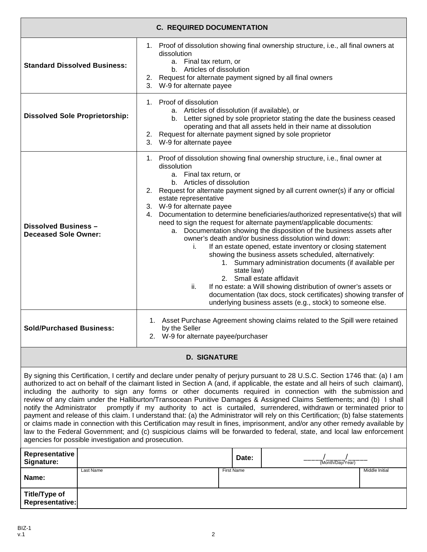| <b>C. REQUIRED DOCUMENTATION</b>                                                                                                                                                                                                                                                                                                                                                                                                                                                                                                                                                                                                                                                                                                                                                                                                                                                                                                                                                                                                                                                              |                                                                                                                                                                                                                                                                                                                                                                                                                                                                                                                                                                                                                                                                                                                                                                                                                                                                                                                                                                                                                                                |  |  |  |  |  |
|-----------------------------------------------------------------------------------------------------------------------------------------------------------------------------------------------------------------------------------------------------------------------------------------------------------------------------------------------------------------------------------------------------------------------------------------------------------------------------------------------------------------------------------------------------------------------------------------------------------------------------------------------------------------------------------------------------------------------------------------------------------------------------------------------------------------------------------------------------------------------------------------------------------------------------------------------------------------------------------------------------------------------------------------------------------------------------------------------|------------------------------------------------------------------------------------------------------------------------------------------------------------------------------------------------------------------------------------------------------------------------------------------------------------------------------------------------------------------------------------------------------------------------------------------------------------------------------------------------------------------------------------------------------------------------------------------------------------------------------------------------------------------------------------------------------------------------------------------------------------------------------------------------------------------------------------------------------------------------------------------------------------------------------------------------------------------------------------------------------------------------------------------------|--|--|--|--|--|
| <b>Standard Dissolved Business:</b>                                                                                                                                                                                                                                                                                                                                                                                                                                                                                                                                                                                                                                                                                                                                                                                                                                                                                                                                                                                                                                                           | 1. Proof of dissolution showing final ownership structure, i.e., all final owners at<br>dissolution<br>a. Final tax return, or<br>b. Articles of dissolution<br>2. Request for alternate payment signed by all final owners<br>3. W-9 for alternate payee                                                                                                                                                                                                                                                                                                                                                                                                                                                                                                                                                                                                                                                                                                                                                                                      |  |  |  |  |  |
| <b>Dissolved Sole Proprietorship:</b>                                                                                                                                                                                                                                                                                                                                                                                                                                                                                                                                                                                                                                                                                                                                                                                                                                                                                                                                                                                                                                                         | 1. Proof of dissolution<br>a. Articles of dissolution (if available), or<br>b. Letter signed by sole proprietor stating the date the business ceased<br>operating and that all assets held in their name at dissolution<br>2. Request for alternate payment signed by sole proprietor<br>W-9 for alternate payee<br>3.                                                                                                                                                                                                                                                                                                                                                                                                                                                                                                                                                                                                                                                                                                                         |  |  |  |  |  |
| <b>Dissolved Business -</b><br><b>Deceased Sole Owner:</b>                                                                                                                                                                                                                                                                                                                                                                                                                                                                                                                                                                                                                                                                                                                                                                                                                                                                                                                                                                                                                                    | 1. Proof of dissolution showing final ownership structure, i.e., final owner at<br>dissolution<br>a. Final tax return, or<br>b. Articles of dissolution<br>2. Request for alternate payment signed by all current owner(s) if any or official<br>estate representative<br>3. W-9 for alternate payee<br>4. Documentation to determine beneficiaries/authorized representative(s) that will<br>need to sign the request for alternate payment/applicable documents:<br>a. Documentation showing the disposition of the business assets after<br>owner's death and/or business dissolution wind down:<br>If an estate opened, estate inventory or closing statement<br>Ĺ.<br>showing the business assets scheduled, alternatively:<br>1. Summary administration documents (if available per<br>state law)<br>2. Small estate affidavit<br>ii.<br>If no estate: a Will showing distribution of owner's assets or<br>documentation (tax docs, stock certificates) showing transfer of<br>underlying business assets (e.g., stock) to someone else. |  |  |  |  |  |
| <b>Sold/Purchased Business:</b>                                                                                                                                                                                                                                                                                                                                                                                                                                                                                                                                                                                                                                                                                                                                                                                                                                                                                                                                                                                                                                                               | 1. Asset Purchase Agreement showing claims related to the Spill were retained<br>by the Seller<br>2. W-9 for alternate payee/purchaser                                                                                                                                                                                                                                                                                                                                                                                                                                                                                                                                                                                                                                                                                                                                                                                                                                                                                                         |  |  |  |  |  |
| <b>D. SIGNATURE</b>                                                                                                                                                                                                                                                                                                                                                                                                                                                                                                                                                                                                                                                                                                                                                                                                                                                                                                                                                                                                                                                                           |                                                                                                                                                                                                                                                                                                                                                                                                                                                                                                                                                                                                                                                                                                                                                                                                                                                                                                                                                                                                                                                |  |  |  |  |  |
| By signing this Certification, I certify and declare under penalty of perjury pursuant to 28 U.S.C. Section 1746 that: (a) I am<br>authorized to act on behalf of the claimant listed in Section A (and, if applicable, the estate and all heirs of such claimant),<br>including the authority to sign any forms or other documents required in connection with the submission and<br>review of any claim under the Halliburton/Transocean Punitive Damages & Assigned Claims Settlements; and (b) I shall<br>promptly if my authority to act is curtailed, surrendered, withdrawn or terminated prior to<br>notify the Administrator<br>payment and release of this claim. I understand that: (a) the Administrator will rely on this Certification; (b) false statements<br>or claims made in connection with this Certification may result in fines, imprisonment, and/or any other remedy available by<br>law to the Federal Government; and (c) suspicious claims will be forwarded to federal, state, and local law enforcement<br>agencies for possible investigation and prosecution. |                                                                                                                                                                                                                                                                                                                                                                                                                                                                                                                                                                                                                                                                                                                                                                                                                                                                                                                                                                                                                                                |  |  |  |  |  |
| Representative<br>Signature:                                                                                                                                                                                                                                                                                                                                                                                                                                                                                                                                                                                                                                                                                                                                                                                                                                                                                                                                                                                                                                                                  | Date:<br>(Month/Day/Year)                                                                                                                                                                                                                                                                                                                                                                                                                                                                                                                                                                                                                                                                                                                                                                                                                                                                                                                                                                                                                      |  |  |  |  |  |
| Last Name<br>Name:                                                                                                                                                                                                                                                                                                                                                                                                                                                                                                                                                                                                                                                                                                                                                                                                                                                                                                                                                                                                                                                                            | <b>First Name</b><br>Middle Initial                                                                                                                                                                                                                                                                                                                                                                                                                                                                                                                                                                                                                                                                                                                                                                                                                                                                                                                                                                                                            |  |  |  |  |  |
| Title/Type of<br><b>Representative:</b>                                                                                                                                                                                                                                                                                                                                                                                                                                                                                                                                                                                                                                                                                                                                                                                                                                                                                                                                                                                                                                                       |                                                                                                                                                                                                                                                                                                                                                                                                                                                                                                                                                                                                                                                                                                                                                                                                                                                                                                                                                                                                                                                |  |  |  |  |  |